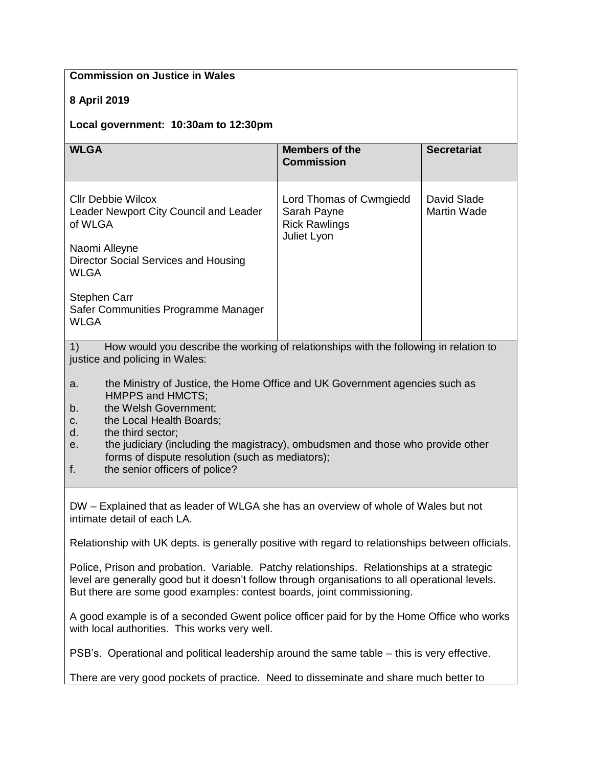| <b>Commission on Justice in Wales</b>                                                                                                                                                                                                                                                                                                                                                     |                                                                               |                                   |
|-------------------------------------------------------------------------------------------------------------------------------------------------------------------------------------------------------------------------------------------------------------------------------------------------------------------------------------------------------------------------------------------|-------------------------------------------------------------------------------|-----------------------------------|
| 8 April 2019                                                                                                                                                                                                                                                                                                                                                                              |                                                                               |                                   |
| Local government: 10:30am to 12:30pm                                                                                                                                                                                                                                                                                                                                                      |                                                                               |                                   |
| <b>WLGA</b>                                                                                                                                                                                                                                                                                                                                                                               | <b>Members of the</b><br><b>Commission</b>                                    | <b>Secretariat</b>                |
| <b>CIIr Debbie Wilcox</b><br>Leader Newport City Council and Leader<br>of WLGA                                                                                                                                                                                                                                                                                                            | Lord Thomas of Cwmgiedd<br>Sarah Payne<br><b>Rick Rawlings</b><br>Juliet Lyon | David Slade<br><b>Martin Wade</b> |
| Naomi Alleyne<br>Director Social Services and Housing<br><b>WLGA</b>                                                                                                                                                                                                                                                                                                                      |                                                                               |                                   |
| <b>Stephen Carr</b><br>Safer Communities Programme Manager<br><b>WLGA</b>                                                                                                                                                                                                                                                                                                                 |                                                                               |                                   |
| How would you describe the working of relationships with the following in relation to<br>1)<br>justice and policing in Wales:                                                                                                                                                                                                                                                             |                                                                               |                                   |
| the Ministry of Justice, the Home Office and UK Government agencies such as<br>a.<br>HMPPS and HMCTS;<br>the Welsh Government;<br>$b$ .<br>the Local Health Boards;<br>c.<br>the third sector;<br>d.<br>the judiciary (including the magistracy), ombudsmen and those who provide other<br>е.<br>forms of dispute resolution (such as mediators);<br>the senior officers of police?<br>f. |                                                                               |                                   |
| DW – Explained that as leader of WLGA she has an overview of whole of Wales but not<br>intimate detail of each LA.                                                                                                                                                                                                                                                                        |                                                                               |                                   |
| Relationship with UK depts. is generally positive with regard to relationships between officials.                                                                                                                                                                                                                                                                                         |                                                                               |                                   |
| Police, Prison and probation. Variable. Patchy relationships. Relationships at a strategic<br>level are generally good but it doesn't follow through organisations to all operational levels.<br>But there are some good examples: contest boards, joint commissioning.                                                                                                                   |                                                                               |                                   |
| A good example is of a seconded Gwent police officer paid for by the Home Office who works<br>with local authorities. This works very well.                                                                                                                                                                                                                                               |                                                                               |                                   |
| PSB's. Operational and political leadership around the same table – this is very effective.                                                                                                                                                                                                                                                                                               |                                                                               |                                   |
| There are very good pockets of practice. Need to disseminate and share much better to                                                                                                                                                                                                                                                                                                     |                                                                               |                                   |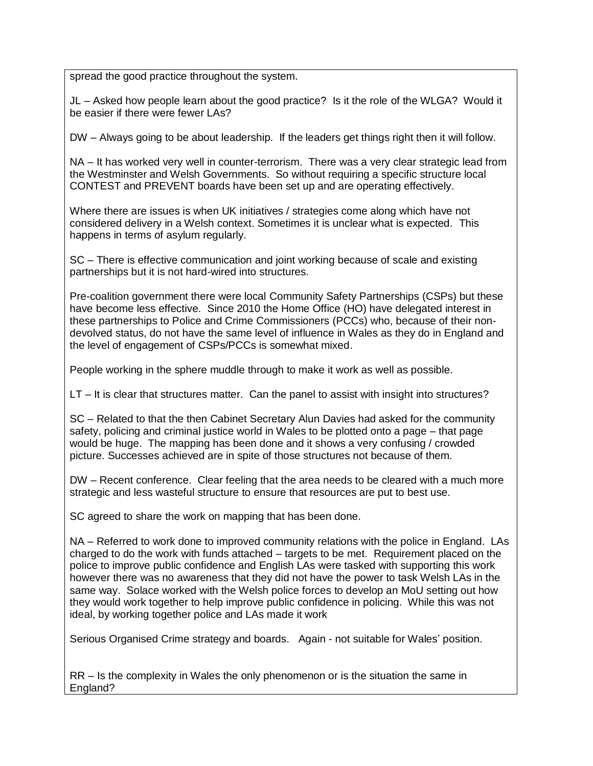spread the good practice throughout the system.

JL – Asked how people learn about the good practice? Is it the role of the WLGA? Would it be easier if there were fewer LAs?

DW – Always going to be about leadership. If the leaders get things right then it will follow.

NA – It has worked very well in counter-terrorism. There was a very clear strategic lead from the Westminster and Welsh Governments. So without requiring a specific structure local CONTEST and PREVENT boards have been set up and are operating effectively.

Where there are issues is when UK initiatives / strategies come along which have not considered delivery in a Welsh context. Sometimes it is unclear what is expected. This happens in terms of asylum regularly.

SC – There is effective communication and joint working because of scale and existing partnerships but it is not hard-wired into structures.

Pre-coalition government there were local Community Safety Partnerships (CSPs) but these have become less effective. Since 2010 the Home Office (HO) have delegated interest in these partnerships to Police and Crime Commissioners (PCCs) who, because of their nondevolved status, do not have the same level of influence in Wales as they do in England and the level of engagement of CSPs/PCCs is somewhat mixed.

People working in the sphere muddle through to make it work as well as possible.

LT – It is clear that structures matter. Can the panel to assist with insight into structures?

SC – Related to that the then Cabinet Secretary Alun Davies had asked for the community safety, policing and criminal justice world in Wales to be plotted onto a page – that page would be huge. The mapping has been done and it shows a very confusing / crowded picture. Successes achieved are in spite of those structures not because of them.

DW – Recent conference. Clear feeling that the area needs to be cleared with a much more strategic and less wasteful structure to ensure that resources are put to best use.

SC agreed to share the work on mapping that has been done.

NA – Referred to work done to improved community relations with the police in England. LAs charged to do the work with funds attached – targets to be met. Requirement placed on the police to improve public confidence and English LAs were tasked with supporting this work however there was no awareness that they did not have the power to task Welsh LAs in the same way. Solace worked with the Welsh police forces to develop an MoU setting out how they would work together to help improve public confidence in policing. While this was not ideal, by working together police and LAs made it work

Serious Organised Crime strategy and boards. Again - not suitable for Wales' position.

RR – Is the complexity in Wales the only phenomenon or is the situation the same in England?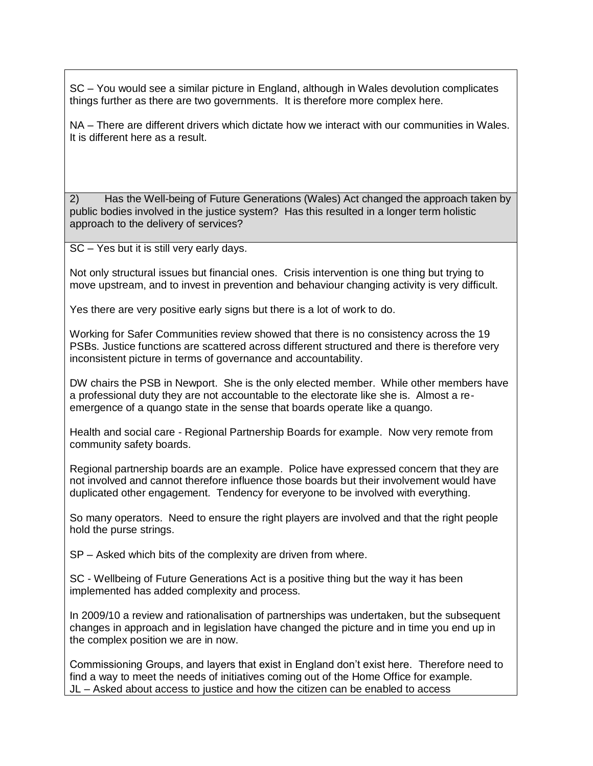SC – You would see a similar picture in England, although in Wales devolution complicates things further as there are two governments. It is therefore more complex here.

NA – There are different drivers which dictate how we interact with our communities in Wales. It is different here as a result.

2) Has the Well-being of Future Generations (Wales) Act changed the approach taken by public bodies involved in the justice system? Has this resulted in a longer term holistic approach to the delivery of services?

SC – Yes but it is still very early days.

Not only structural issues but financial ones. Crisis intervention is one thing but trying to move upstream, and to invest in prevention and behaviour changing activity is very difficult.

Yes there are very positive early signs but there is a lot of work to do.

Working for Safer Communities review showed that there is no consistency across the 19 PSBs. Justice functions are scattered across different structured and there is therefore very inconsistent picture in terms of governance and accountability.

DW chairs the PSB in Newport. She is the only elected member. While other members have a professional duty they are not accountable to the electorate like she is. Almost a reemergence of a quango state in the sense that boards operate like a quango.

Health and social care - Regional Partnership Boards for example. Now very remote from community safety boards.

Regional partnership boards are an example. Police have expressed concern that they are not involved and cannot therefore influence those boards but their involvement would have duplicated other engagement. Tendency for everyone to be involved with everything.

So many operators. Need to ensure the right players are involved and that the right people hold the purse strings.

SP – Asked which bits of the complexity are driven from where.

SC - Wellbeing of Future Generations Act is a positive thing but the way it has been implemented has added complexity and process.

In 2009/10 a review and rationalisation of partnerships was undertaken, but the subsequent changes in approach and in legislation have changed the picture and in time you end up in the complex position we are in now.

Commissioning Groups, and layers that exist in England don't exist here. Therefore need to find a way to meet the needs of initiatives coming out of the Home Office for example. JL – Asked about access to justice and how the citizen can be enabled to access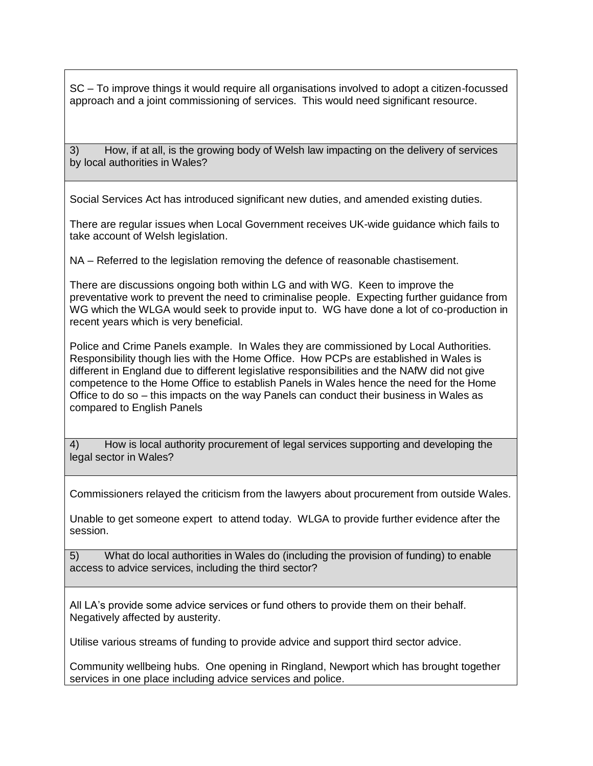SC – To improve things it would require all organisations involved to adopt a citizen-focussed approach and a joint commissioning of services. This would need significant resource.

3) How, if at all, is the growing body of Welsh law impacting on the delivery of services by local authorities in Wales?

Social Services Act has introduced significant new duties, and amended existing duties.

There are regular issues when Local Government receives UK-wide guidance which fails to take account of Welsh legislation.

NA – Referred to the legislation removing the defence of reasonable chastisement.

There are discussions ongoing both within LG and with WG. Keen to improve the preventative work to prevent the need to criminalise people. Expecting further guidance from WG which the WLGA would seek to provide input to. WG have done a lot of co-production in recent years which is very beneficial.

Police and Crime Panels example. In Wales they are commissioned by Local Authorities. Responsibility though lies with the Home Office. How PCPs are established in Wales is different in England due to different legislative responsibilities and the NAfW did not give competence to the Home Office to establish Panels in Wales hence the need for the Home Office to do so – this impacts on the way Panels can conduct their business in Wales as compared to English Panels

4) How is local authority procurement of legal services supporting and developing the legal sector in Wales?

Commissioners relayed the criticism from the lawyers about procurement from outside Wales.

Unable to get someone expert to attend today. WLGA to provide further evidence after the session.

5) What do local authorities in Wales do (including the provision of funding) to enable access to advice services, including the third sector?

All LA's provide some advice services or fund others to provide them on their behalf. Negatively affected by austerity.

Utilise various streams of funding to provide advice and support third sector advice.

Community wellbeing hubs. One opening in Ringland, Newport which has brought together services in one place including advice services and police.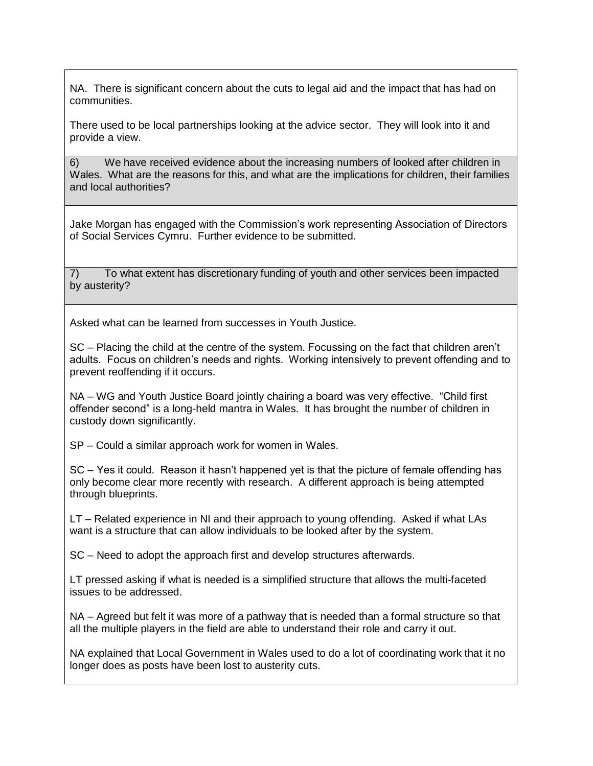NA. There is significant concern about the cuts to legal aid and the impact that has had on communities.

There used to be local partnerships looking at the advice sector. They will look into it and provide a view.

6) We have received evidence about the increasing numbers of looked after children in Wales. What are the reasons for this, and what are the implications for children, their families and local authorities?

Jake Morgan has engaged with the Commission's work representing Association of Directors of Social Services Cymru. Further evidence to be submitted.

7) To what extent has discretionary funding of youth and other services been impacted by austerity?

Asked what can be learned from successes in Youth Justice.

SC – Placing the child at the centre of the system. Focussing on the fact that children aren't adults. Focus on children's needs and rights. Working intensively to prevent offending and to prevent reoffending if it occurs.

NA – WG and Youth Justice Board jointly chairing a board was very effective. "Child first offender second" is a long-held mantra in Wales. It has brought the number of children in custody down significantly.

SP – Could a similar approach work for women in Wales.

SC – Yes it could. Reason it hasn't happened yet is that the picture of female offending has only become clear more recently with research. A different approach is being attempted through blueprints.

LT – Related experience in NI and their approach to young offending. Asked if what LAs want is a structure that can allow individuals to be looked after by the system.

SC – Need to adopt the approach first and develop structures afterwards.

LT pressed asking if what is needed is a simplified structure that allows the multi-faceted issues to be addressed.

NA – Agreed but felt it was more of a pathway that is needed than a formal structure so that all the multiple players in the field are able to understand their role and carry it out.

NA explained that Local Government in Wales used to do a lot of coordinating work that it no longer does as posts have been lost to austerity cuts.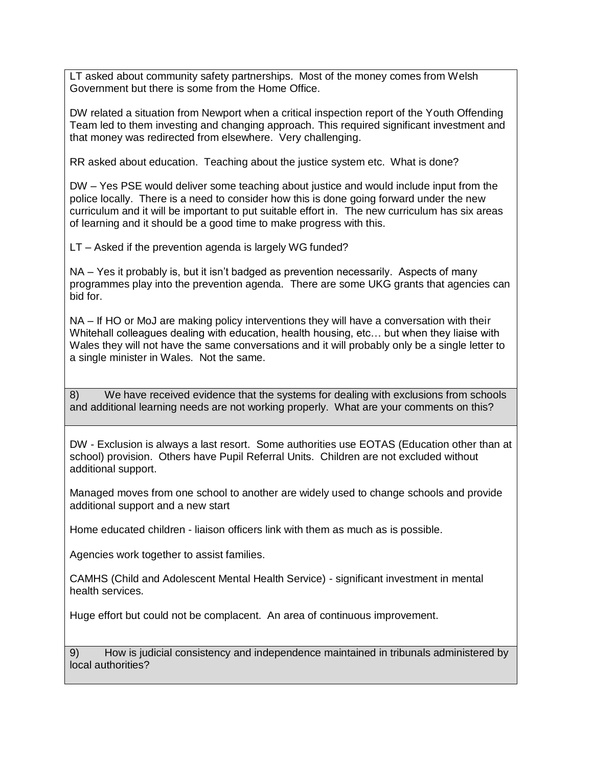LT asked about community safety partnerships. Most of the money comes from Welsh Government but there is some from the Home Office.

DW related a situation from Newport when a critical inspection report of the Youth Offending Team led to them investing and changing approach. This required significant investment and that money was redirected from elsewhere. Very challenging.

RR asked about education. Teaching about the justice system etc. What is done?

DW – Yes PSE would deliver some teaching about justice and would include input from the police locally. There is a need to consider how this is done going forward under the new curriculum and it will be important to put suitable effort in. The new curriculum has six areas of learning and it should be a good time to make progress with this.

LT – Asked if the prevention agenda is largely WG funded?

NA – Yes it probably is, but it isn't badged as prevention necessarily. Aspects of many programmes play into the prevention agenda. There are some UKG grants that agencies can bid for.

NA – If HO or MoJ are making policy interventions they will have a conversation with their Whitehall colleagues dealing with education, health housing, etc… but when they liaise with Wales they will not have the same conversations and it will probably only be a single letter to a single minister in Wales. Not the same.

8) We have received evidence that the systems for dealing with exclusions from schools and additional learning needs are not working properly. What are your comments on this?

DW - Exclusion is always a last resort. Some authorities use EOTAS (Education other than at school) provision. Others have Pupil Referral Units. Children are not excluded without additional support.

Managed moves from one school to another are widely used to change schools and provide additional support and a new start

Home educated children - liaison officers link with them as much as is possible.

Agencies work together to assist families.

CAMHS (Child and Adolescent Mental Health Service) - significant investment in mental health services.

Huge effort but could not be complacent. An area of continuous improvement.

9) How is judicial consistency and independence maintained in tribunals administered by local authorities?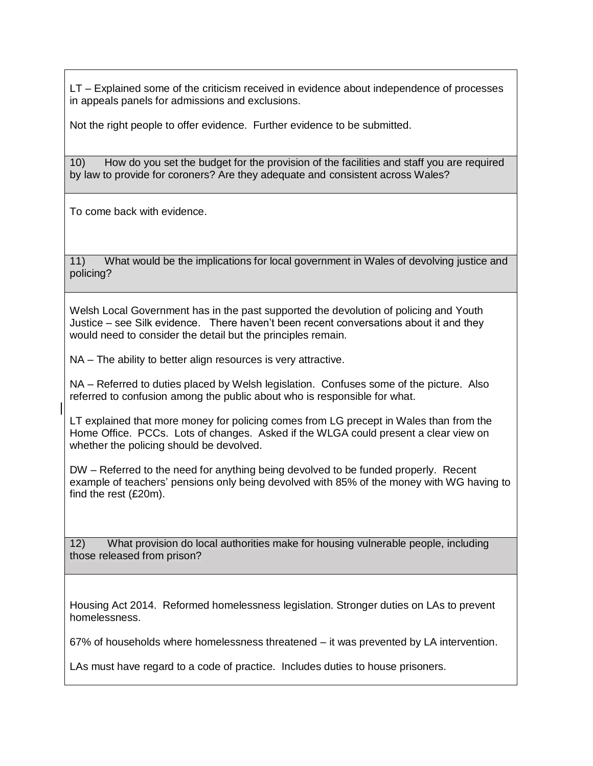LT – Explained some of the criticism received in evidence about independence of processes in appeals panels for admissions and exclusions.

Not the right people to offer evidence. Further evidence to be submitted.

10) How do you set the budget for the provision of the facilities and staff you are required by law to provide for coroners? Are they adequate and consistent across Wales?

To come back with evidence.

11) What would be the implications for local government in Wales of devolving justice and policing?

Welsh Local Government has in the past supported the devolution of policing and Youth Justice – see Silk evidence. There haven't been recent conversations about it and they would need to consider the detail but the principles remain.

NA – The ability to better align resources is very attractive.

NA – Referred to duties placed by Welsh legislation. Confuses some of the picture. Also referred to confusion among the public about who is responsible for what.

LT explained that more money for policing comes from LG precept in Wales than from the Home Office. PCCs. Lots of changes. Asked if the WLGA could present a clear view on whether the policing should be devolved.

DW – Referred to the need for anything being devolved to be funded properly. Recent example of teachers' pensions only being devolved with 85% of the money with WG having to find the rest (£20m).

12) What provision do local authorities make for housing vulnerable people, including those released from prison?

Housing Act 2014. Reformed homelessness legislation. Stronger duties on LAs to prevent homelessness.

67% of households where homelessness threatened – it was prevented by LA intervention.

LAs must have regard to a code of practice. Includes duties to house prisoners.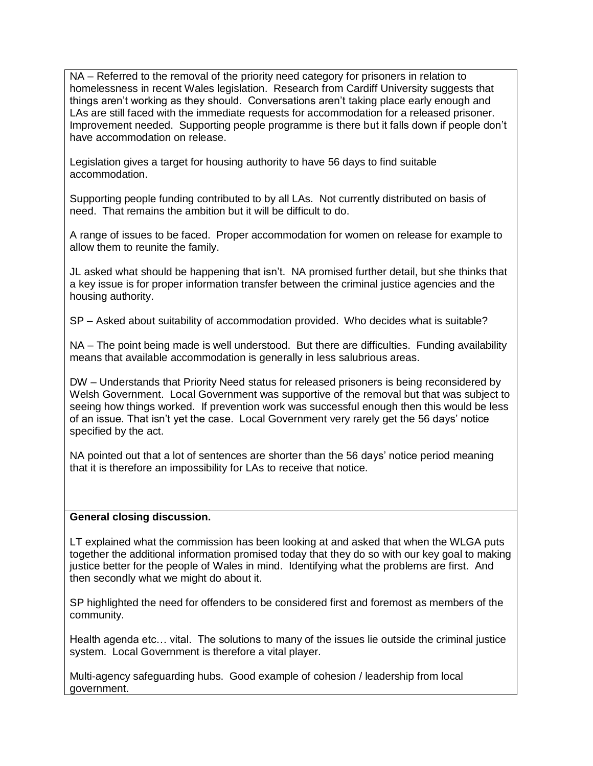NA – Referred to the removal of the priority need category for prisoners in relation to homelessness in recent Wales legislation. Research from Cardiff University suggests that things aren't working as they should. Conversations aren't taking place early enough and LAs are still faced with the immediate requests for accommodation for a released prisoner. Improvement needed. Supporting people programme is there but it falls down if people don't have accommodation on release.

Legislation gives a target for housing authority to have 56 days to find suitable accommodation.

Supporting people funding contributed to by all LAs. Not currently distributed on basis of need. That remains the ambition but it will be difficult to do.

A range of issues to be faced. Proper accommodation for women on release for example to allow them to reunite the family.

JL asked what should be happening that isn't. NA promised further detail, but she thinks that a key issue is for proper information transfer between the criminal justice agencies and the housing authority.

SP – Asked about suitability of accommodation provided. Who decides what is suitable?

NA – The point being made is well understood. But there are difficulties. Funding availability means that available accommodation is generally in less salubrious areas.

DW – Understands that Priority Need status for released prisoners is being reconsidered by Welsh Government. Local Government was supportive of the removal but that was subject to seeing how things worked. If prevention work was successful enough then this would be less of an issue. That isn't yet the case. Local Government very rarely get the 56 days' notice specified by the act.

NA pointed out that a lot of sentences are shorter than the 56 days' notice period meaning that it is therefore an impossibility for LAs to receive that notice.

## **General closing discussion.**

LT explained what the commission has been looking at and asked that when the WLGA puts together the additional information promised today that they do so with our key goal to making justice better for the people of Wales in mind. Identifying what the problems are first. And then secondly what we might do about it.

SP highlighted the need for offenders to be considered first and foremost as members of the community.

Health agenda etc… vital. The solutions to many of the issues lie outside the criminal justice system. Local Government is therefore a vital player.

Multi-agency safeguarding hubs. Good example of cohesion / leadership from local government.